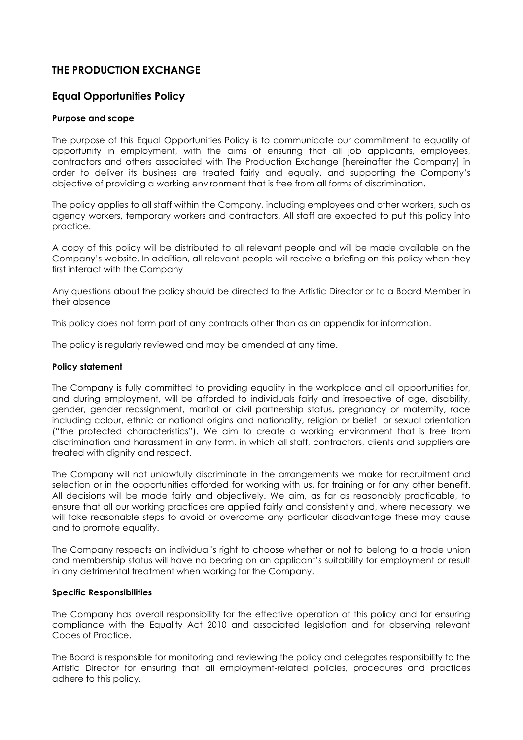# **THE PRODUCTION EXCHANGE**

## **Equal Opportunities Policy**

## **Purpose and scope**

The purpose of this Equal Opportunities Policy is to communicate our commitment to equality of opportunity in employment, with the aims of ensuring that all job applicants, employees, contractors and others associated with The Production Exchange [hereinafter the Company] in order to deliver its business are treated fairly and equally, and supporting the Company's objective of providing a working environment that is free from all forms of discrimination.

The policy applies to all staff within the Company, including employees and other workers, such as agency workers, temporary workers and contractors. All staff are expected to put this policy into practice.

A copy of this policy will be distributed to all relevant people and will be made available on the Company's website. In addition, all relevant people will receive a briefing on this policy when they first interact with the Company

Any questions about the policy should be directed to the Artistic Director or to a Board Member in their absence

This policy does not form part of any contracts other than as an appendix for information.

The policy is regularly reviewed and may be amended at any time.

#### **Policy statement**

The Company is fully committed to providing equality in the workplace and all opportunities for, and during employment, will be afforded to individuals fairly and irrespective of age, disability, gender, gender reassignment, marital or civil partnership status, pregnancy or maternity, race including colour, ethnic or national origins and nationality, religion or belief or sexual orientation ("the protected characteristics"). We aim to create a working environment that is free from discrimination and harassment in any form, in which all staff, contractors, clients and suppliers are treated with dignity and respect.

The Company will not unlawfully discriminate in the arrangements we make for recruitment and selection or in the opportunities afforded for working with us, for training or for any other benefit. All decisions will be made fairly and objectively. We aim, as far as reasonably practicable, to ensure that all our working practices are applied fairly and consistently and, where necessary, we will take reasonable steps to avoid or overcome any particular disadvantage these may cause and to promote equality.

The Company respects an individual's right to choose whether or not to belong to a trade union and membership status will have no bearing on an applicant's suitability for employment or result in any detrimental treatment when working for the Company.

## **Specific Responsibilities**

The Company has overall responsibility for the effective operation of this policy and for ensuring compliance with the Equality Act 2010 and associated legislation and for observing relevant Codes of Practice.

The Board is responsible for monitoring and reviewing the policy and delegates responsibility to the Artistic Director for ensuring that all employment-related policies, procedures and practices adhere to this policy.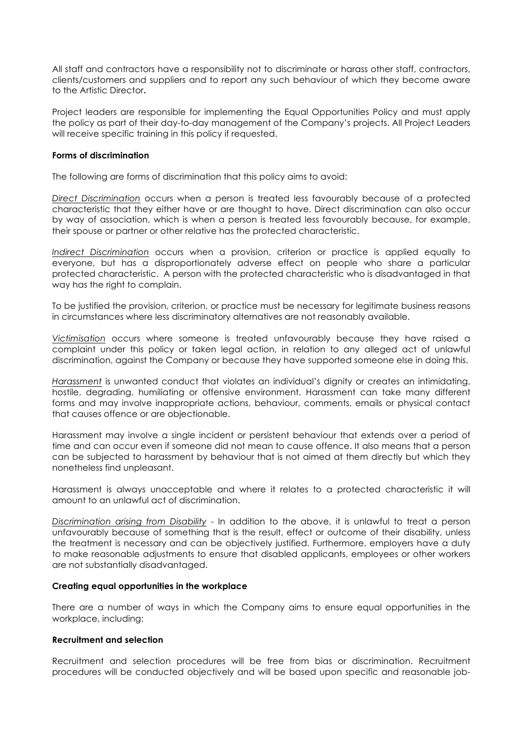All staff and contractors have a responsibility not to discriminate or harass other staff, contractors, clients/customers and suppliers and to report any such behaviour of which they become aware to the Artistic Director**.**

Project leaders are responsible for implementing the Equal Opportunities Policy and must apply the policy as part of their day-to-day management of the Company's projects. All Project Leaders will receive specific training in this policy if requested.

#### **Forms of discrimination**

The following are forms of discrimination that this policy aims to avoid:

*Direct Discrimination* occurs when a person is treated less favourably because of a protected characteristic that they either have or are thought to have. Direct discrimination can also occur by way of association, which is when a person is treated less favourably because, for example, their spouse or partner or other relative has the protected characteristic.

*Indirect Discrimination* occurs when a provision, criterion or practice is applied equally to everyone, but has a disproportionately adverse effect on people who share a particular protected characteristic. A person with the protected characteristic who is disadvantaged in that way has the right to complain.

To be justified the provision, criterion, or practice must be necessary for legitimate business reasons in circumstances where less discriminatory alternatives are not reasonably available.

*Victimisation* occurs where someone is treated unfavourably because they have raised a complaint under this policy or taken legal action, in relation to any alleged act of unlawful discrimination, against the Company or because they have supported someone else in doing this.

*Harassment* is unwanted conduct that violates an individual's dignity or creates an intimidating, hostile, degrading, humiliating or offensive environment. Harassment can take many different forms and may involve inappropriate actions, behaviour, comments, emails or physical contact that causes offence or are objectionable.

Harassment may involve a single incident or persistent behaviour that extends over a period of time and can occur even if someone did not mean to cause offence. It also means that a person can be subjected to harassment by behaviour that is not aimed at them directly but which they nonetheless find unpleasant.

Harassment is always unacceptable and where it relates to a protected characteristic it will amount to an unlawful act of discrimination.

*Discrimination arising from Disability* - In addition to the above, it is unlawful to treat a person unfavourably because of something that is the result, effect or outcome of their disability, unless the treatment is necessary and can be objectively justified. Furthermore, employers have a duty to make reasonable adjustments to ensure that disabled applicants, employees or other workers are not substantially disadvantaged.

## **Creating equal opportunities in the workplace**

There are a number of ways in which the Company aims to ensure equal opportunities in the workplace, including:

## **Recruitment and selection**

Recruitment and selection procedures will be free from bias or discrimination. Recruitment procedures will be conducted objectively and will be based upon specific and reasonable job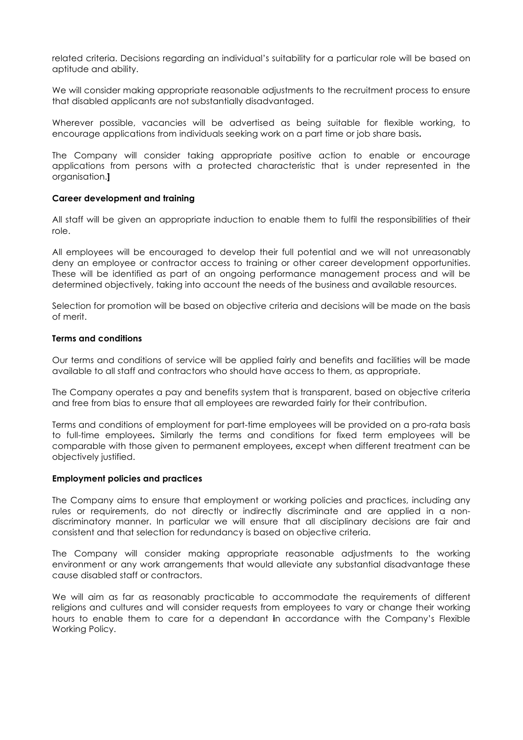related criteria. Decisions regarding an individual's suitability for a particular role will be based on aptitude and ability.

We will consider making appropriate reasonable adjustments to the recruitment process to ensure that disabled applicants are not substantially disadvantaged.

Wherever possible, vacancies will be advertised as being suitable for flexible working, to encourage applications from individuals seeking work on a part time or job share basis**.**

The Company will consider taking appropriate positive action to enable or encourage applications from persons with a protected characteristic that is under represented in the organisation.**]**

#### **Career development and training**

All staff will be given an appropriate induction to enable them to fulfil the responsibilities of their role.

All employees will be encouraged to develop their full potential and we will not unreasonably deny an employee or contractor access to training or other career development opportunities. These will be identified as part of an ongoing performance management process and will be determined objectively, taking into account the needs of the business and available resources.

Selection for promotion will be based on objective criteria and decisions will be made on the basis of merit.

#### **Terms and conditions**

Our terms and conditions of service will be applied fairly and benefits and facilities will be made available to all staff and contractors who should have access to them, as appropriate.

The Company operates a pay and benefits system that is transparent, based on objective criteria and free from bias to ensure that all employees are rewarded fairly for their contribution.

Terms and conditions of employment for part-time employees will be provided on a pro-rata basis to full-time employees**.** Similarly the terms and conditions for fixed term employees will be comparable with those given to permanent employees**,** except when different treatment can be objectively justified.

#### **Employment policies and practices**

The Company aims to ensure that employment or working policies and practices, including any rules or requirements, do not directly or indirectly discriminate and are applied in a nondiscriminatory manner. In particular we will ensure that all disciplinary decisions are fair and consistent and that selection for redundancy is based on objective criteria.

The Company will consider making appropriate reasonable adjustments to the working environment or any work arrangements that would alleviate any substantial disadvantage these cause disabled staff or contractors.

We will aim as far as reasonably practicable to accommodate the requirements of different religions and cultures and will consider requests from employees to vary or change their working hours to enable them to care for a dependant **i**n accordance with the Company's Flexible Working Policy.